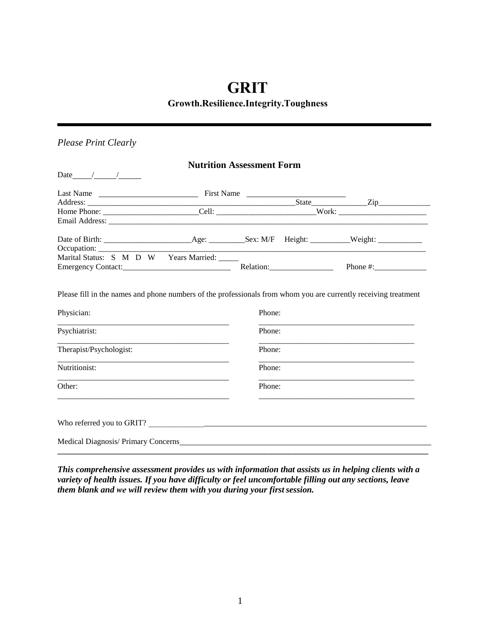# **GRIT**

# **Growth.Resilience.Integrity.Toughness**

## *Please Print Clearly*

|                                                                                                                                |                                                             | <b>Nutrition Assessment Form</b> |  |
|--------------------------------------------------------------------------------------------------------------------------------|-------------------------------------------------------------|----------------------------------|--|
| Date $\frac{1}{\sqrt{2\pi}}$                                                                                                   |                                                             |                                  |  |
|                                                                                                                                |                                                             |                                  |  |
|                                                                                                                                |                                                             |                                  |  |
| Home Phone: ___________________________Cell: __________________________________Work: _________________________                 |                                                             |                                  |  |
|                                                                                                                                |                                                             |                                  |  |
|                                                                                                                                |                                                             |                                  |  |
|                                                                                                                                |                                                             |                                  |  |
| Marital Status: S M D W Years Married: _____                                                                                   |                                                             |                                  |  |
|                                                                                                                                |                                                             |                                  |  |
| Psychiatrist:<br>Therapist/Psychologist:                                                                                       | <u> 1989 - Johann Barbara, martxa al III-lea (h. 1989).</u> | Phone:<br>Phone:                 |  |
|                                                                                                                                |                                                             |                                  |  |
| Nutritionist:                                                                                                                  |                                                             | Phone:                           |  |
| Other:<br><u> 1980 - Jan James James James James James James James James James James James James James James James James J</u> |                                                             | Phone:                           |  |
|                                                                                                                                |                                                             |                                  |  |
|                                                                                                                                |                                                             |                                  |  |

*This comprehensive assessment provides us with information that assists us in helping clients with a variety of health issues. If you have difficulty or feel uncomfortable filling out any sections, leave them blank and we will review them with you during your first session.*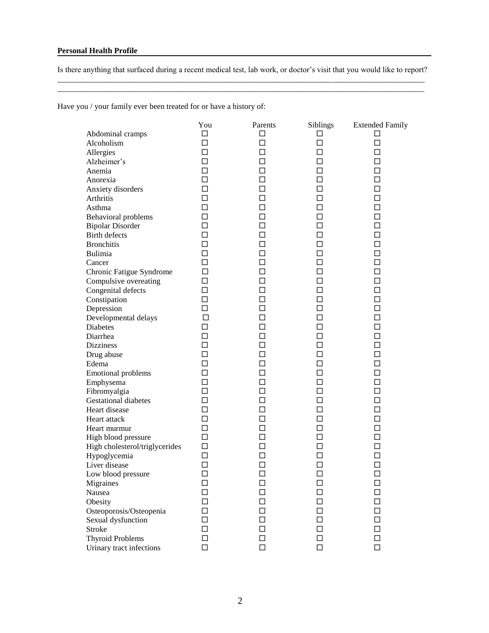Is there anything that surfaced during a recent medical test, lab work, or doctor's visit that you would like to report? \_\_\_\_\_\_\_\_\_\_\_\_\_\_\_\_\_\_\_\_\_\_\_\_\_\_\_\_\_\_\_\_\_\_\_\_\_\_\_\_\_\_\_\_\_\_\_\_\_\_\_\_\_\_\_\_\_\_\_\_\_\_\_\_\_\_\_\_\_\_\_\_\_\_\_\_\_\_\_\_\_\_\_\_\_\_\_\_\_\_\_\_

\_\_\_\_\_\_\_\_\_\_\_\_\_\_\_\_\_\_\_\_\_\_\_\_\_\_\_\_\_\_\_\_\_\_\_\_\_\_\_\_\_\_\_\_\_\_\_\_\_\_\_\_\_\_\_\_\_\_\_\_\_\_\_\_\_\_\_\_\_\_\_\_\_\_\_\_\_\_\_\_\_\_\_\_\_\_\_\_\_\_\_\_

Have you / your family ever been treated for or have a history of:

|                                | You    | Parents | Siblings | <b>Extended Family</b> |
|--------------------------------|--------|---------|----------|------------------------|
| Abdominal cramps               | $\Box$ | □       | □        | П                      |
| Alcoholism                     | $\Box$ | $\Box$  | $\Box$   | □                      |
| Allergies                      | $\Box$ | □       | $\Box$   | □                      |
| Alzheimer's                    | $\Box$ | □       | $\Box$   | П                      |
| Anemia                         | $\Box$ | □       | $\Box$   | ◻                      |
| Anorexia                       | П      | □       | П        | п                      |
| Anxiety disorders              | П      | □       | $\Box$   | п                      |
| Arthritis                      | □      | ◻       | □        | П                      |
| Asthma                         | □      | ◻       | П        | $\Box$                 |
| Behavioral problems            | $\Box$ | □       | П        | П                      |
| <b>Bipolar Disorder</b>        | □      | □       | ◻        | ◻                      |
| Birth defects                  | $\Box$ | □       | $\Box$   | $\Box$                 |
| <b>Bronchitis</b>              | $\Box$ | □       | $\Box$   | □                      |
| Bulimia                        | $\Box$ | □       | $\Box$   | □                      |
| Cancer                         | $\Box$ | □       | □        | ◻                      |
| Chronic Fatigue Syndrome       | $\Box$ | □       | П        | ◻                      |
| Compulsive overeating          | $\Box$ | □       | □        | □                      |
| Congenital defects             | $\Box$ | □       | $\Box$   | п                      |
| Constipation                   | $\Box$ | □       | $\Box$   | п                      |
| Depression                     | $\Box$ | ◻       | □        | $\Box$                 |
| Developmental delays           | $\Box$ | ◻       | □        | □                      |
| <b>Diabetes</b>                | $\Box$ | □       | □        | □                      |
| Diarrhea                       | $\Box$ | □       | П        | $\Box$                 |
| <b>Dizziness</b>               | $\Box$ | $\Box$  | $\Box$   | $\Box$                 |
| Drug abuse                     | $\Box$ | $\Box$  | $\Box$   | $\Box$                 |
| Edema                          | $\Box$ | □       | □        | ◻                      |
| <b>Emotional problems</b>      | $\Box$ | □       | □        | ◻                      |
| Emphysema                      | $\Box$ | ◻       | П        | □                      |
| Fibromyalgia                   | $\Box$ | □       | П        | ◻                      |
| <b>Gestational diabetes</b>    | $\Box$ | ◻       | П        | П                      |
| Heart disease                  | $\Box$ | ◻       | $\Box$   | п                      |
| Heart attack                   | $\Box$ | ◻       | □        | П                      |
| Heart murmur                   | $\Box$ | ◻       | П        | $\Box$                 |
| High blood pressure            | $\Box$ | □       | □        | □                      |
| High cholesterol/triglycerides | $\Box$ | □       | □        | ◻                      |
| Hypoglycemia                   | $\Box$ | □       | $\Box$   | ◻                      |
| Liver disease                  | $\Box$ | □       | $\Box$   | □                      |
| Low blood pressure             | $\Box$ | □       | $\Box$   | $\Box$                 |
| Migraines                      | □      | □       | $\Box$   | ⊔                      |
| Nausea                         | □      | ┓       | П        |                        |
| Obesity                        | $\Box$ | □       | $\Box$   | □                      |
| Osteoporosis/Osteopenia        | $\Box$ | $\Box$  | $\Box$   | □                      |
| Sexual dysfunction             | $\Box$ | □       | $\Box$   | □                      |
| Stroke                         | $\Box$ | ◻       | □        | ◻                      |
| <b>Thyroid Problems</b>        | $\Box$ | ◻       | □        | □                      |
| Urinary tract infections       | $\Box$ | $\Box$  | $\Box$   | $\Box$                 |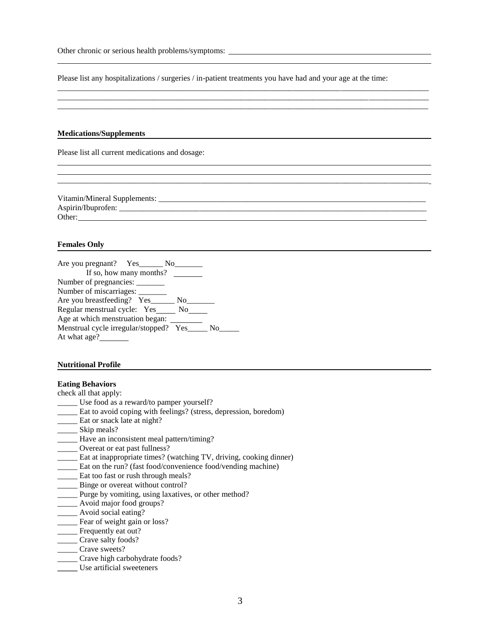| Other chronic or serious health problems/symptoms: |  |
|----------------------------------------------------|--|
|----------------------------------------------------|--|

Please list any hospitalizations / surgeries / in-patient treatments you have had and your age at the time:

\_\_\_\_\_\_\_\_\_\_\_\_\_\_\_\_\_\_\_\_\_\_\_\_\_\_\_\_\_\_\_\_\_\_\_\_\_\_\_\_\_\_\_\_\_\_\_\_\_\_\_\_\_\_\_\_\_\_\_\_\_\_\_\_\_\_\_\_\_\_\_\_\_\_\_\_\_\_\_\_\_\_\_\_\_\_\_\_\_\_\_\_\_ \_\_\_\_\_\_\_\_\_\_\_\_\_\_\_\_\_\_\_\_\_\_\_\_\_\_\_\_\_\_\_\_\_\_\_\_\_\_\_\_\_\_\_\_\_\_\_\_\_\_\_\_\_\_\_\_\_\_\_\_\_\_\_\_\_\_\_\_\_\_\_\_\_\_\_\_\_\_\_\_\_\_\_\_\_\_\_\_\_\_\_\_\_ \_\_\_\_\_\_\_\_\_\_\_\_\_\_\_\_\_\_\_\_\_\_\_\_\_\_\_\_\_\_\_\_\_\_\_\_\_\_\_\_\_\_\_\_\_\_\_\_\_\_\_\_\_\_\_\_\_\_\_\_\_\_\_\_\_\_\_\_\_\_\_\_\_\_\_\_\_\_\_\_\_\_\_\_\_\_\_\_\_\_\_\_\_

#### **Medications/Supplements**

Please list all current medications and dosage:

| Vitamin/Mineral Supplements: |  |
|------------------------------|--|
| Aspirin/Ibuprofen:           |  |
| Other:                       |  |

\_\_\_\_\_\_\_\_\_\_\_\_\_\_\_\_\_\_\_\_\_\_\_\_\_\_\_\_\_\_\_\_\_\_\_\_\_\_\_\_\_\_\_\_\_\_\_\_\_\_\_\_\_\_\_\_\_\_\_\_\_\_\_\_\_\_\_\_\_\_\_\_\_\_\_\_\_\_\_\_\_\_\_\_\_\_\_\_\_\_\_\_\_

#### **Females Only**

| Are you pregnant? Yes_______ No_        |                                                                                                                                                                                                                                |  |
|-----------------------------------------|--------------------------------------------------------------------------------------------------------------------------------------------------------------------------------------------------------------------------------|--|
| If so, how many months?                 |                                                                                                                                                                                                                                |  |
| Number of pregnancies:                  |                                                                                                                                                                                                                                |  |
| Number of miscarriages:                 |                                                                                                                                                                                                                                |  |
| Are you breastfeeding? Yes              | No the set of the set of the set of the set of the set of the set of the set of the set of the set of the set of the set of the set of the set of the set of the set of the set of the set of the set of the set of the set of |  |
| Regular menstrual cycle: Yes No         |                                                                                                                                                                                                                                |  |
| Age at which menstruation began:        |                                                                                                                                                                                                                                |  |
| Menstrual cycle irregular/stopped? Yes_ | No                                                                                                                                                                                                                             |  |
| At what age?                            |                                                                                                                                                                                                                                |  |

#### **Nutritional Profile**

#### **Eating Behaviors**

- check all that apply:
- \_\_\_\_\_ Use food as a reward/to pamper yourself?
- \_\_\_\_\_ Eat to avoid coping with feelings? (stress, depression, boredom)
- \_\_\_\_\_ Eat or snack late at night?
- \_\_\_\_\_\_\_ Skip meals?
- \_\_\_\_\_ Have an inconsistent meal pattern/timing?
- **\_\_\_\_\_** Overeat or eat past fullness?
- \_\_\_\_\_ Eat at inappropriate times? (watching TV, driving, cooking dinner)
- \_\_\_\_\_ Eat on the run? (fast food/convenience food/vending machine)
- Eat too fast or rush through meals?
- Binge or overeat without control?
- \_\_\_\_\_ Purge by vomiting, using laxatives, or other method?
- \_\_\_\_\_ Avoid major food groups?
- \_\_\_\_\_ Avoid social eating?
- **Example 1** Fear of weight gain or loss?
- \_\_\_\_\_ Frequently eat out?
- \_\_\_\_\_ Crave salty foods?
- \_\_\_\_\_ Crave sweets?
- \_\_\_\_\_ Crave high carbohydrate foods?
- **\_\_\_\_\_** Use artificial sweeteners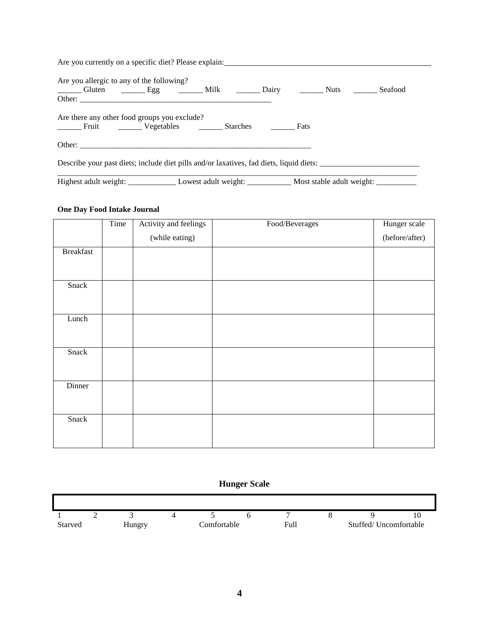| Are you currently on a specific diet? Please explain:                                                                                                                                                                          |  |  |
|--------------------------------------------------------------------------------------------------------------------------------------------------------------------------------------------------------------------------------|--|--|
| Are you allergic to any of the following?                                                                                                                                                                                      |  |  |
| Gluten ________ Egg __________ Milk _________ Dairy _________ Nuts _________ Seafood                                                                                                                                           |  |  |
| Are there any other food groups you exclude?<br>Fruit __________ Vegetables ____________ Starches ____________ Fats                                                                                                            |  |  |
| Other: the contract of the contract of the contract of the contract of the contract of the contract of the contract of the contract of the contract of the contract of the contract of the contract of the contract of the con |  |  |
|                                                                                                                                                                                                                                |  |  |
|                                                                                                                                                                                                                                |  |  |

### **One Day Food Intake Journal**

 $\blacksquare$ 

|                  | Time | Activity and feelings | Food/Beverages | Hunger scale   |
|------------------|------|-----------------------|----------------|----------------|
|                  |      | (while eating)        |                | (before/after) |
| <b>Breakfast</b> |      |                       |                |                |
|                  |      |                       |                |                |
| Snack            |      |                       |                |                |
|                  |      |                       |                |                |
| Lunch            |      |                       |                |                |
|                  |      |                       |                |                |
| Snack            |      |                       |                |                |
|                  |      |                       |                |                |
| Dinner           |      |                       |                |                |
|                  |      |                       |                |                |
| Snack            |      |                       |                |                |
|                  |      |                       |                |                |
|                  |      |                       |                |                |

### **Hunger Scale**

 $\blacksquare$ 

|                | - |        |             |      |                       |  |
|----------------|---|--------|-------------|------|-----------------------|--|
| <b>Starved</b> |   | dungry | Comfortable | Full | Stuffed/Uncomfortable |  |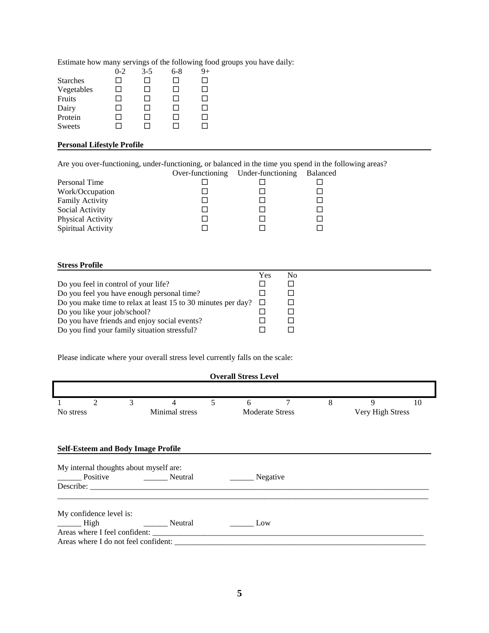Estimate how many servings of the following food groups you have daily:

|                 | $0 - 2$      | 3-5          | 6-8          | 9+           |
|-----------------|--------------|--------------|--------------|--------------|
| <b>Starches</b> |              |              | ΙI           |              |
| Vegetables      | $\mathsf{L}$ | $\mathsf{L}$ | $\mathsf{L}$ | П            |
| Fruits          |              | ΙI           | ΙI           | $\mathsf{L}$ |
| Dairy           |              |              | $1 - 1$      | ΙI           |
| Protein         |              | ΙI           | ΙI           | $\mathsf{L}$ |
| <b>Sweets</b>   |              |              |              | $\mathsf{L}$ |

### **Personal Lifestyle Profile**

Are you over-functioning, under-functioning, or balanced in the time you spend in the following areas?

|                        | Over-functioning Under-functioning | <b>Balanced</b> |
|------------------------|------------------------------------|-----------------|
| Personal Time          |                                    |                 |
| Work/Occupation        |                                    |                 |
| <b>Family Activity</b> |                                    |                 |
| Social Activity        |                                    |                 |
| Physical Activity      |                                    |                 |
| Spiritual Activity     |                                    |                 |

### **Stress Profile**

|                                                              | Yes | Nο |
|--------------------------------------------------------------|-----|----|
| Do you feel in control of your life?                         |     |    |
| Do you feel you have enough personal time?                   |     |    |
| Do you make time to relax at least 15 to 30 minutes per day? |     |    |
| Do you like your job/school?                                 |     |    |
| Do you have friends and enjoy social events?                 |     |    |
| Do you find your family situation stressful?                 |     |    |

Please indicate where your overall stress level currently falls on the scale:

### **Overall Stress Level**

|           | $\overline{c}$                            | 3 | 4                                      | 5 | 6   |                        | 8 | 9                | 10 |
|-----------|-------------------------------------------|---|----------------------------------------|---|-----|------------------------|---|------------------|----|
| No stress |                                           |   | Minimal stress                         |   |     | <b>Moderate Stress</b> |   | Very High Stress |    |
|           |                                           |   |                                        |   |     |                        |   |                  |    |
|           | <b>Self-Esteem and Body Image Profile</b> |   |                                        |   |     |                        |   |                  |    |
|           |                                           |   | My internal thoughts about myself are: |   |     |                        |   |                  |    |
|           |                                           |   | Neutral                                |   |     | Negative               |   |                  |    |
|           |                                           |   |                                        |   |     |                        |   |                  |    |
|           | My confidence level is:                   |   |                                        |   |     |                        |   |                  |    |
| High      |                                           |   | <b>Solution Neutral</b>                |   | Low |                        |   |                  |    |
|           | Areas where I feel confident:             |   |                                        |   |     |                        |   |                  |    |
|           |                                           |   | Areas where I do not feel confident:   |   |     |                        |   |                  |    |